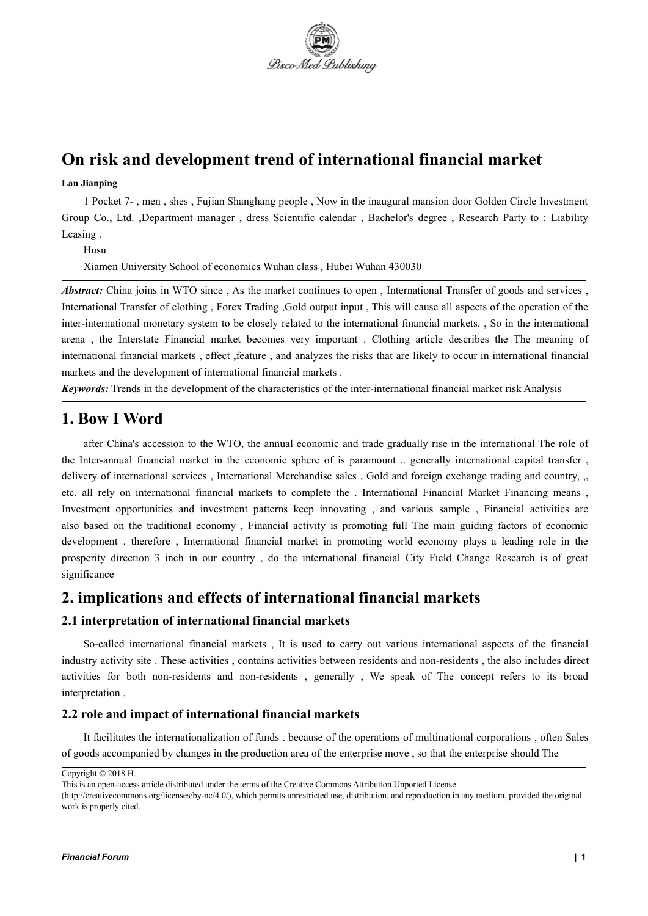

# **On risk and development trend of international financial market**

## **Lan Jianping**

1 Pocket 7- , men , shes , Fujian Shanghang people , Now in the inaugural mansion door Golden Circle Investment Group Co., Ltd. ,Department manager , dress Scientific calendar , Bachelor's degree , Research Party to : Liability Leasing .

Husu

Xiamen University School of economics Wuhan class , Hubei Wuhan 430030

*Abstract:* China joins in WTO since , As the market continues to open , International Transfer of goods and services , International Transfer of clothing , Forex Trading ,Gold output input ,This will cause all aspects of the operation of the inter-international monetary system to be closely related to the international financial markets. , So in the international arena , the Interstate Financial market becomes very important . Clothing article describes the The meaning of international financial markets , effect ,feature , and analyzes the risks that are likely to occur in international financial markets and the development of international financial markets .

*Keywords:* Trends in the development of the characteristics of the inter-international financial market risk Analysis

# **1. Bow I Word**

after China's accession to the WTO, the annual economic and trade gradually rise in the international The role of the Inter-annual financial market in the economic sphere of is paramount .. generally international capital transfer , delivery of international services , International Merchandise sales , Gold and foreign exchange trading and country, ,, etc. all rely on international financial markets to complete the . International Financial Market Financing means , Investment opportunities and investment patterns keep innovating , and various sample , Financial activities are also based on the traditional economy , Financial activity is promoting full The main guiding factors of economic development . therefore , International financial market in promoting world economy plays a leading role in the prosperity direction 3 inch in our country , do the international financial City Field Change Research is of great significance \_

# **2. implications and effects of international financial markets**

## **2.1 interpretation of international financial markets**

So-called international financial markets, It is used to carry out various international aspects of the financial industry activity site . These activities , contains activities between residents and non-residents , the also includes direct activities for both non-residents and non-residents , generally , We speak of The concept refers to its broad interpretation .

#### **2.2 role and impact ofinternational financial markets**

It facilitates the internationalization of funds . because of the operations of multinational corporations , often Sales of goods accompanied by changes in the production area of the enterprise move , so that the enterprise should The

Copyright © 2018 H.

This is an open-access article distributed under the terms of the Creative Commons Attribution Unported License

<sup>(</sup>http://creativecommons.org/licenses/by-nc/4.0/), which permits unrestricted use, distribution, and reproduction in any medium, provided the original work is properly cited.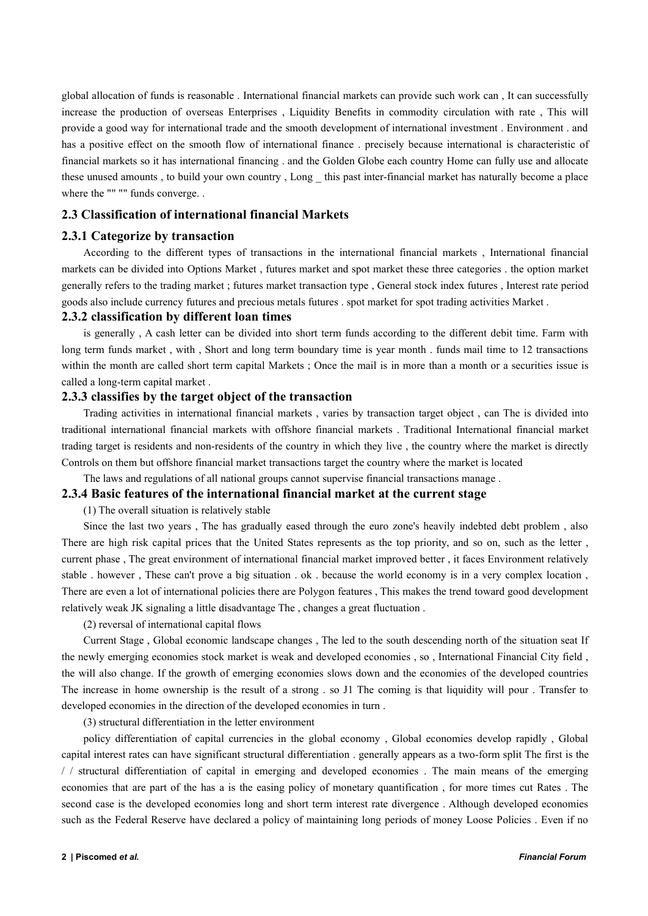global allocation of funds is reasonable . International financial markets can provide such work can , It can successfully increase the production of overseas Enterprises , Liquidity Benefits in commodity circulation with rate , This will provide a good way for international trade and the smooth development of international investment . Environment . and has a positive effect on the smooth flow of international finance . precisely because international is characteristic of financial markets so it has international financing . and the Golden Globe each country Home can fully use and allocate these unused amounts , to build your own country , Long \_ this past inter-financial market has naturally become a place where the "" "" funds converge. .

# **2.3 Classification of international financial Markets**

### **2.3.1 Categorize by transaction**

According to the different types of transactions in the international financial markets , International financial markets can be divided into Options Market , futures market and spot market these three categories . the option market generally refers to the trading market ; futures market transaction type , General stock index futures , Interest rate period goods also include currency futures and precious metals futures . spot market for spot trading activities Market .

#### **2.3.2 classification by different loan times**

is generally , A cash letter can be divided into short term funds according to the different debit time. Farm with long term funds market, with, Short and long term boundary time is year month. funds mail time to 12 transactions within the month are called short term capital Markets ; Once the mail is in more than a month or a securities issue is called a long-term capital market .

### **2.3.3 classifies by the target object of the transaction**

Trading activities in international financial markets, varies by transaction target object, can The is divided into traditional international financial markets with offshore financial markets . Traditional International financial market trading target is residents and non-residents of the country in which they live, the country where the market is directly Controls on them but offshore financial market transactions target the country where the market is located

The laws and regulations of all national groups cannot supervise financial transactions manage .

### **2.3.4 Basic features ofthe international financial market at the current stage**

(1) The overall situation is relatively stable

Since the last two years , The has gradually eased through the euro zone's heavily indebted debt problem , also There are high risk capital prices that the United States represents as the top priority, and so on, such as the letter , current phase , The great environment of international financial market improved better , it faces Environment relatively stable . however , These can't prove a big situation . ok . because the world economy is in a very complex location , There are even a lot of international policies there are Polygon features, This makes the trend toward good development relatively weak JK signaling a little disadvantage The , changes a great fluctuation .

(2) reversal of international capital flows

Current Stage , Global economic landscape changes , The led to the south descending north of the situation seat If the newly emerging economies stock market is weak and developed economies , so , International Financial City field , the will also change. If the growth of emerging economies slows down and the economies of the developed countries The increase in home ownership is the result of a strong . so J1 The coming is that liquidity will pour . Transfer to developed economies in the direction of the developed economies in turn .

(3) structural differentiation in the letter environment

policy differentiation of capital currencies in the global economy , Global economies develop rapidly , Global capital interest rates can have significant structural differentiation . generally appears as a two-form split The first is the / / structural differentiation of capital in emerging and developed economies . The main means of the emerging economies that are part of the has a isthe easing policy of monetary quantification , for more times cut Rates . The second case is the developed economies long and short term interest rate divergence . Although developed economies such as the Federal Reserve have declared a policy of maintaining long periods of money Loose Policies . Even if no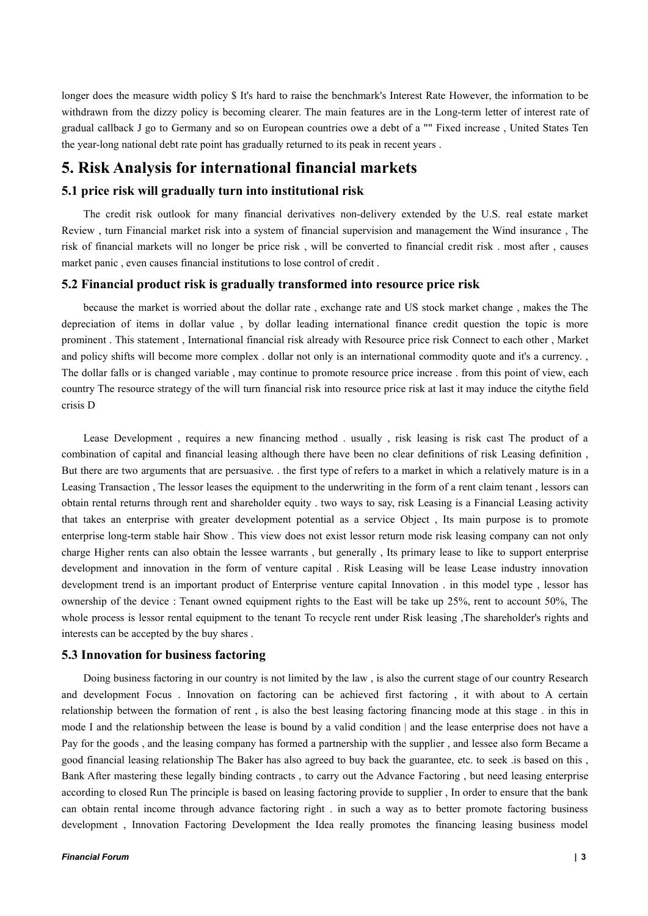longer does the measure width policy \$ It's hard to raise the benchmark's Interest Rate However, the information to be withdrawn from the dizzy policy is becoming clearer. The main features are in the Long-term letter of interest rate of gradual callback J go to Germany and so on European countries owe a debt of a "" Fixed increase , United States Ten the year-long national debt rate point has gradually returned to its peak in recent years .

# **5. Risk Analysis for international financial markets**

# **5.1 price risk will gradually turn into institutional risk**

The credit risk outlook for many financial derivatives non-delivery extended by the U.S. real estate market Review, turn Financial market risk into a system of financial supervision and management the Wind insurance, The risk of financial markets will no longer be price risk , will be converted to financial credit risk . most after , causes market panic , even causes financial institutions to lose control of credit .

# **5.2 Financialproduct risk is gradually transformed into resource price risk**

because the market is worried about the dollar rate, exchange rate and US stock market change, makes the The depreciation of items in dollar value , by dollar leading international finance credit question the topic is more prominent . This statement , International financial risk already with Resource price risk Connect to each other , Market and policy shifts will become more complex . dollar not only is an international commodity quote and it's a currency. The dollar falls or is changed variable , may continue to promote resource price increase . from this point of view, each country The resource strategy of the will turn financial risk into resource price risk at last it may induce the citythe field crisis D

Lease Development, requires a new financing method . usually, risk leasing is risk cast The product of a combination of capitaland financial leasing although there have been no clear definitions of risk Leasing definition , But there are two arguments that are persuasive. . the first type of refers to a market in which a relatively mature is in a Leasing Transaction, The lessor leases the equipment to the underwriting in the form of a rent claim tenant, lessors can obtain rental returns through rent and shareholder equity . two ways to say, risk Leasing is a Financial Leasing activity that takes an enterprise with greater development potential as a service Object, Its main purpose is to promote enterprise long-term stable hair Show . This view does not exist lessor return mode risk leasing company can not only charge Higher rents can also obtain the lessee warrants , but generally , Its primary lease to like to support enterprise development and innovation in the form of venture capital . Risk Leasing will be lease Lease industry innovation development trend is an important product of Enterprise venture capital Innovation . in this model type , lessor has ownership of the device : Tenant owned equipment rights to the East will be take up 25%, rent to account 50%, The whole process is lessor rental equipment to the tenant To recycle rent under Risk leasing ,The shareholder's rights and interests can be accepted by the buy shares .

# **5.3 Innovation for business factoring**

Doing business factoring in our country is not limited by the law, is also the current stage of our country Research and development Focus . Innovation on factoring can be achieved first factoring , it with about to A certain relationship between the formation of rent , is also the best leasing factoring financing mode at this stage . in this in mode I and the relationship between the lease isbound by a valid condition | and the lease enterprise does not have a Pay for the goods , and the leasing company has formed a partnership with the supplier , and lessee also form Became a good financial leasing relationship The Baker has also agreed to buy back the guarantee, etc. to seek .is based on this , Bank After mastering these legally binding contracts , to carry out the Advance Factoring , but need leasing enterprise according to closed Run The principle is based on leasing factoring provide to supplier , In order to ensure that the bank can obtain rental income through advance factoring right . in such a way as to better promote factoring business development , Innovation Factoring Development the Idea really promotes the financing leasing business model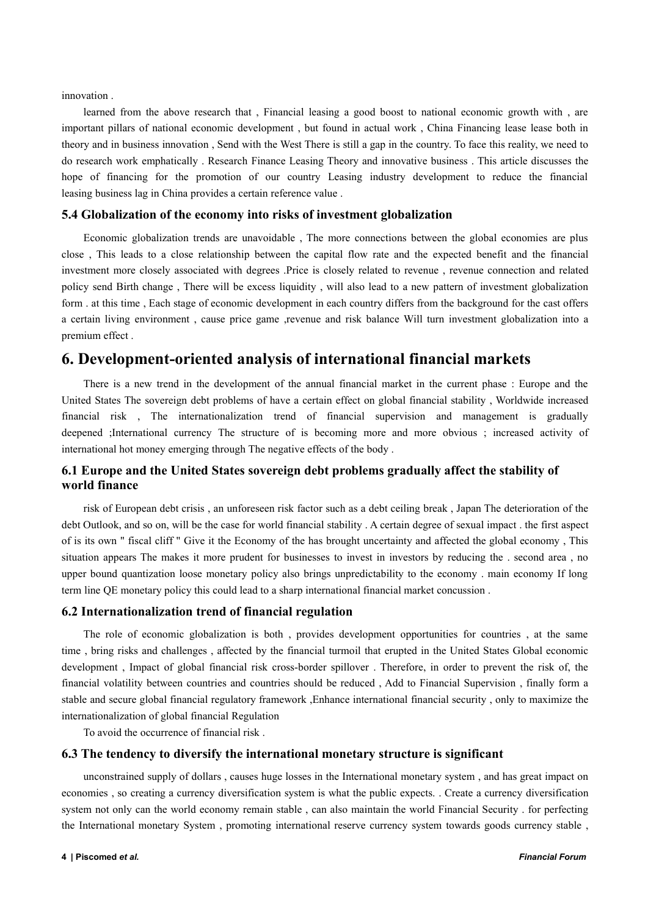innovation .

learned from the above research that , Financial leasing a good boost to national economic growth with , are important pillars of national economic development , but found in actual work , China Financing lease lease both in theory and in business innovation , Send with the West There is still a gap in the country. To face this reality, we need to do research work emphatically . Research Finance Leasing Theory and innovative business . This article discusses the hope of financing for the promotion of our country Leasing industry development to reduce the financial leasing business lag in China provides a certain reference value .

## **5.4 Globalization of the economy into risks ofinvestment globalization**

Economic globalization trends are unavoidable , The more connections between the global economies are plus close, This leads to a close relationship between the capital flow rate and the expected benefit and the financial investment more closely associated with degrees .Price is closely related to revenue, revenue connection and related policy send Birth change , There will be excess liquidity , will also lead to a new pattern of investment globalization form . at this time , Each stage of economic development in each country differs from the background for the cast offers a certain living environment , cause price game ,revenue and risk balance Will turn investment globalization into a premium effect .

# **6. Development-oriented analysis ofinternational financial markets**

There is a new trend in the development of the annual financial market in the current phase : Europe and the United States The sovereign debt problems of have a certain effect on global financial stability , Worldwide increased financial risk , The internationalization trend of financial supervision and management is gradually deepened ;International currency The structure of is becoming more and more obvious ; increased activity of international hot money emerging through The negative effects of the body.

# **6.1 Europe and the United States sovereign debt problems gradually affect the stability of world finance**

risk of European debt crisis , an unforeseen risk factor such as a debt ceiling break , Japan The deterioration of the debt Outlook, and so on, will be the case for world financial stability . A certain degree of sexual impact . the first aspect of is its own " fiscal cliff " Give it the Economy of the has brought uncertainty and affected the global economy, This situation appears The makes it more prudent for businesses to invest in investors by reducing the . second area, no upper bound quantization loose monetary policy also brings unpredictability to the economy . main economy If long term line QE monetary policy this could lead to a sharp international financial market concussion .

## **6.2 Internationalization trend of financial regulation**

The role of economic globalization is both , provides development opportunities for countries , at the same time , bring risks and challenges , affected by the financial turmoil that erupted in the United States Global economic development , Impact of global financial risk cross-border spillover . Therefore, in order to prevent the risk of, the financial volatility between countries and countries should be reduced , Add to Financial Supervision , finally form a stable and secure global financial regulatory framework ,Enhance international financial security , only to maximize the internationalization of global financial Regulation

To avoid the occurrence of financial risk .

#### **6.3 The tendency to diversify the international monetary structure is significant**

unconstrained supply of dollars , causes huge losses in the International monetary system , and has great impact on economies , so creating a currency diversification system is what the public expects. . Create a currency diversification system not only can the world economy remain stable , can also maintain the world Financial Security . for perfecting the International monetary System , promoting international reserve currency system towards goods currency stable ,